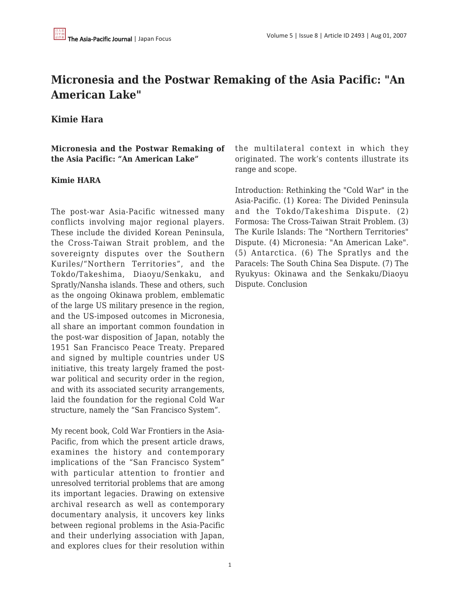# **Micronesia and the Postwar Remaking of the Asia Pacific: "An American Lake"**

# **Kimie Hara**

**Micronesia and the Postwar Remaking of the Asia Pacific: "An American Lake"**

### **Kimie HARA**

The post-war Asia-Pacific witnessed many conflicts involving major regional players. These include the divided Korean Peninsula, the Cross-Taiwan Strait problem, and the sovereignty disputes over the Southern Kuriles/"Northern Territories", and the Tokdo/Takeshima, Diaoyu/Senkaku, and Spratly/Nansha islands. These and others, such as the ongoing Okinawa problem, emblematic of the large US military presence in the region, and the US-imposed outcomes in Micronesia, all share an important common foundation in the post-war disposition of Japan, notably the 1951 San Francisco Peace Treaty. Prepared and signed by multiple countries under US initiative, this treaty largely framed the postwar political and security order in the region, and with its associated security arrangements, laid the foundation for the regional Cold War structure, namely the "San Francisco System".

My recent book, Cold War Frontiers in the Asia-Pacific, from which the present article draws, examines the history and contemporary implications of the "San Francisco System" with particular attention to frontier and unresolved territorial problems that are among its important legacies. Drawing on extensive archival research as well as contemporary documentary analysis, it uncovers key links between regional problems in the Asia-Pacific and their underlying association with Japan, and explores clues for their resolution within the multilateral context in which they originated. The work's contents illustrate its range and scope.

Introduction: Rethinking the "Cold War" in the Asia-Pacific. (1) Korea: The Divided Peninsula and the Tokdo/Takeshima Dispute. (2) Formosa: The Cross-Taiwan Strait Problem. (3) The Kurile Islands: The "Northern Territories" Dispute. (4) Micronesia: "An American Lake". (5) Antarctica. (6) The Spratlys and the Paracels: The South China Sea Dispute. (7) The Ryukyus: Okinawa and the Senkaku/Diaoyu Dispute. Conclusion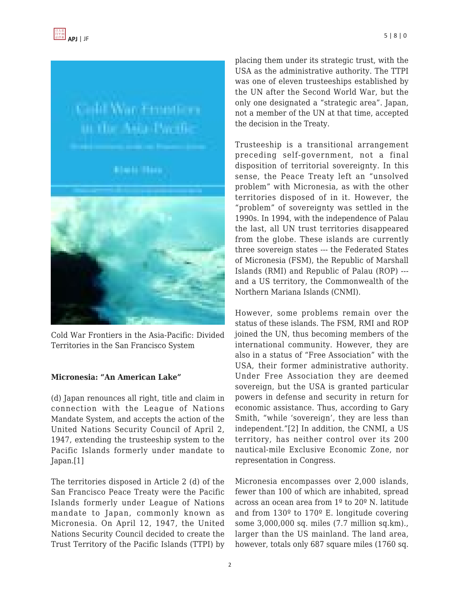



Cold War Frontiers in the Asia-Pacific: Divided Territories in the San Francisco System

#### **Micronesia: "An American Lake"**

(d) Japan renounces all right, title and claim in connection with the League of Nations Mandate System, and accepts the action of the United Nations Security Council of April 2, 1947, extending the trusteeship system to the Pacific Islands formerly under mandate to Japan.[1]

The territories disposed in Article 2 (d) of the San Francisco Peace Treaty were the Pacific Islands formerly under League of Nations mandate to Japan, commonly known as Micronesia. On April 12, 1947, the United Nations Security Council decided to create the Trust Territory of the Pacific Islands (TTPI) by placing them under its strategic trust, with the USA as the administrative authority. The TTPI was one of eleven trusteeships established by the UN after the Second World War, but the only one designated a "strategic area". Japan, not a member of the UN at that time, accepted the decision in the Treaty.

Trusteeship is a transitional arrangement preceding self-government, not a final disposition of territorial sovereignty. In this sense, the Peace Treaty left an "unsolved problem" with Micronesia, as with the other territories disposed of in it. However, the "problem" of sovereignty was settled in the 1990s. In 1994, with the independence of Palau the last, all UN trust territories disappeared from the globe. These islands are currently three sovereign states --- the Federated States of Micronesia (FSM), the Republic of Marshall Islands (RMI) and Republic of Palau (ROP) -- and a US territory, the Commonwealth of the Northern Mariana Islands (CNMI).

However, some problems remain over the status of these islands. The FSM, RMI and ROP joined the UN, thus becoming members of the international community. However, they are also in a status of "Free Association" with the USA, their former administrative authority. Under Free Association they are deemed sovereign, but the USA is granted particular powers in defense and security in return for economic assistance. Thus, according to Gary Smith, "while 'sovereign', they are less than independent."[2] In addition, the CNMI, a US territory, has neither control over its 200 nautical-mile Exclusive Economic Zone, nor representation in Congress.

Micronesia encompasses over 2,000 islands, fewer than 100 of which are inhabited, spread across an ocean area from 1º to 20º N. latitude and from  $130^{\circ}$  to  $170^{\circ}$  E. longitude covering some 3,000,000 sq. miles (7.7 million sq.km)., larger than the US mainland. The land area, however, totals only 687 square miles (1760 sq.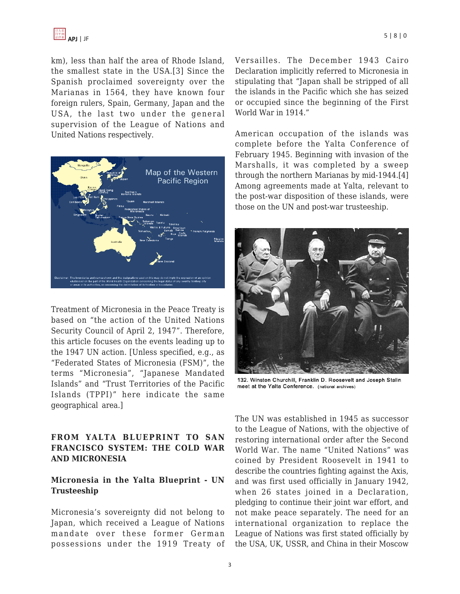

km), less than half the area of Rhode Island, the smallest state in the USA.[3] Since the Spanish proclaimed sovereignty over the Marianas in 1564, they have known four foreign rulers, Spain, Germany, Japan and the USA, the last two under the general supervision of the League of Nations and United Nations respectively.



Treatment of Micronesia in the Peace Treaty is based on "the action of the United Nations Security Council of April 2, 1947". Therefore, this article focuses on the events leading up to the 1947 UN action. [Unless specified, e.g., as "Federated States of Micronesia (FSM)", the terms "Micronesia", "Japanese Mandated Islands" and "Trust Territories of the Pacific Islands (TPPI)" here indicate the same geographical area.]

### **FROM YALTA BLUEPRINT TO SAN FRANCISCO SYSTEM: THE COLD WAR AND MICRONESIA**

### **Micronesia in the Yalta Blueprint - UN Trusteeship**

Micronesia's sovereignty did not belong to Japan, which received a League of Nations mandate over these former German possessions under the 1919 Treaty of Versailles. The December 1943 Cairo Declaration implicitly referred to Micronesia in stipulating that "Japan shall be stripped of all the islands in the Pacific which she has seized or occupied since the beginning of the First World War in 1914."

American occupation of the islands was complete before the Yalta Conference of February 1945. Beginning with invasion of the Marshalls, it was completed by a sweep through the northern Marianas by mid-1944.[4] Among agreements made at Yalta, relevant to the post-war disposition of these islands, were those on the UN and post-war trusteeship.



132. Winston Churchill, Franklin D. Roosevelt and Joseph Stalin meet at the Yalta Conference. (national archives)

The UN was established in 1945 as successor to the League of Nations, with the objective of restoring international order after the Second World War. The name "United Nations" was coined by President Roosevelt in 1941 to describe the countries fighting against the Axis, and was first used officially in January 1942, when 26 states joined in a Declaration, pledging to continue their joint war effort, and not make peace separately. The need for an international organization to replace the League of Nations was first stated officially by the USA, UK, USSR, and China in their Moscow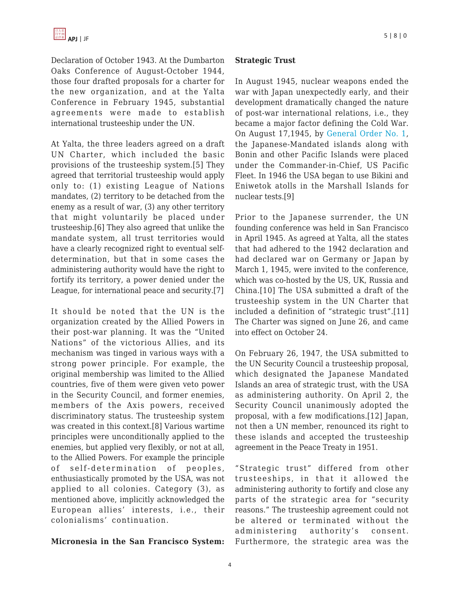Declaration of October 1943. At the Dumbarton Oaks Conference of August-October 1944, those four drafted proposals for a charter for the new organization, and at the Yalta Conference in February 1945, substantial agreements were made to establish international trusteeship under the UN.

At Yalta, the three leaders agreed on a draft UN Charter, which included the basic provisions of the trusteeship system.[5] They agreed that territorial trusteeship would apply only to: (1) existing League of Nations mandates, (2) territory to be detached from the enemy as a result of war, (3) any other territory that might voluntarily be placed under trusteeship.[6] They also agreed that unlike the mandate system, all trust territories would have a clearly recognized right to eventual selfdetermination, but that in some cases the administering authority would have the right to fortify its territory, a power denied under the League, for international peace and security.[7]

It should be noted that the UN is the organization created by the Allied Powers in their post-war planning. It was the "United Nations" of the victorious Allies, and its mechanism was tinged in various ways with a strong power principle. For example, the original membership was limited to the Allied countries, five of them were given veto power in the Security Council, and former enemies, members of the Axis powers, received discriminatory status. The trusteeship system was created in this context.[8] Various wartime principles were unconditionally applied to the enemies, but applied very flexibly, or not at all, to the Allied Powers. For example the principle of self-determination of peoples, enthusiastically promoted by the USA, was not applied to all colonies. Category (3), as mentioned above, implicitly acknowledged the European allies' interests, i.e., their colonialisms' continuation.

### **Micronesia in the San Francisco System:**

#### **Strategic Trust**

In August 1945, nuclear weapons ended the war with Japan unexpectedly early, and their development dramatically changed the nature of post-war international relations, i.e., they became a major factor defining the Cold War. On August 17,1945, by [General Order No. 1,](http://www.taiwandocuments.org/surrender05.htm) the Japanese-Mandated islands along with Bonin and other Pacific Islands were placed under the Commander-in-Chief, US Pacific Fleet. In 1946 the USA began to use Bikini and Eniwetok atolls in the Marshall Islands for nuclear tests.[9]

Prior to the Japanese surrender, the UN founding conference was held in San Francisco in April 1945. As agreed at Yalta, all the states that had adhered to the 1942 declaration and had declared war on Germany or Japan by March 1, 1945, were invited to the conference, which was co-hosted by the US, UK, Russia and China.[10] The USA submitted a draft of the trusteeship system in the UN Charter that included a definition of "strategic trust".[11] The Charter was signed on June 26, and came into effect on October 24.

On February 26, 1947, the USA submitted to the UN Security Council a trusteeship proposal, which designated the Japanese Mandated Islands an area of strategic trust, with the USA as administering authority. On April 2, the Security Council unanimously adopted the proposal, with a few modifications.[12] Japan, not then a UN member, renounced its right to these islands and accepted the trusteeship agreement in the Peace Treaty in 1951.

"Strategic trust" differed from other trusteeships, in that it allowed the administering authority to fortify and close any parts of the strategic area for "security reasons." The trusteeship agreement could not be altered or terminated without the administering authority's consent. Furthermore, the strategic area was the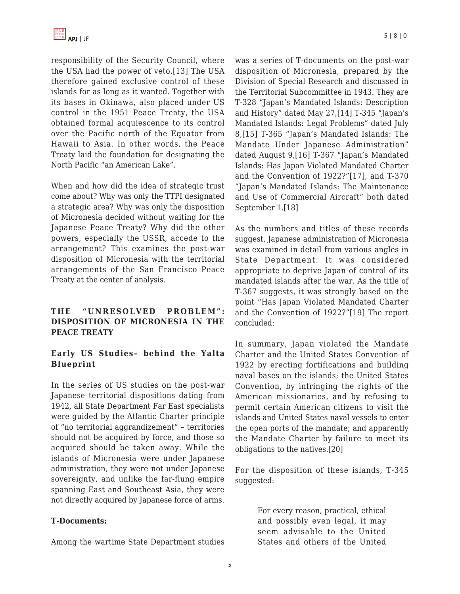responsibility of the Security Council, where the USA had the power of veto.[13] The USA therefore gained exclusive control of these islands for as long as it wanted. Together with its bases in Okinawa, also placed under US control in the 1951 Peace Treaty, the USA obtained formal acquiescence to its control over the Pacific north of the Equator from Hawaii to Asia. In other words, the Peace Treaty laid the foundation for designating the North Pacific "an American Lake".

When and how did the idea of strategic trust come about? Why was only the TTPI designated a strategic area? Why was only the disposition of Micronesia decided without waiting for the Japanese Peace Treaty? Why did the other powers, especially the USSR, accede to the arrangement? This examines the post-war disposition of Micronesia with the territorial arrangements of the San Francisco Peace Treaty at the center of analysis.

# **THE "UNRESOLVED PROBLEM": DISPOSITION OF MICRONESIA IN THE PEACE TREATY**

# **Early US Studies– behind the Yalta Blueprint**

In the series of US studies on the post-war Japanese territorial dispositions dating from 1942, all State Department Far East specialists were guided by the Atlantic Charter principle of "no territorial aggrandizement" – territories should not be acquired by force, and those so acquired should be taken away. While the islands of Micronesia were under Japanese administration, they were not under Japanese sovereignty, and unlike the far-flung empire spanning East and Southeast Asia, they were not directly acquired by Japanese force of arms.

# **T-Documents:**

Among the wartime State Department studies

was a series of T-documents on the post-war disposition of Micronesia, prepared by the Division of Special Research and discussed in the Territorial Subcommittee in 1943. They are T-328 "Japan's Mandated Islands: Description and History" dated May 27,[14] T-345 "Japan's Mandated Islands: Legal Problems" dated July 8,[15] T-365 "Japan's Mandated Islands: The Mandate Under Japanese Administration" dated August 9,[16] T-367 "Japan's Mandated Islands: Has Japan Violated Mandated Charter and the Convention of 1922?"[17], and T-370 "Japan's Mandated Islands: The Maintenance and Use of Commercial Aircraft" both dated September 1.[18]

As the numbers and titles of these records suggest, Japanese administration of Micronesia was examined in detail from various angles in State Department. It was considered appropriate to deprive Japan of control of its mandated islands after the war. As the title of T-367 suggests, it was strongly based on the point "Has Japan Violated Mandated Charter and the Convention of 1922?"[19] The report concluded:

In summary, Japan violated the Mandate Charter and the United States Convention of 1922 by erecting fortifications and building naval bases on the islands; the United States Convention, by infringing the rights of the American missionaries, and by refusing to permit certain American citizens to visit the islands and United States naval vessels to enter the open ports of the mandate; and apparently the Mandate Charter by failure to meet its obligations to the natives.[20]

For the disposition of these islands, T-345 suggested:

> For every reason, practical, ethical and possibly even legal, it may seem advisable to the United States and others of the United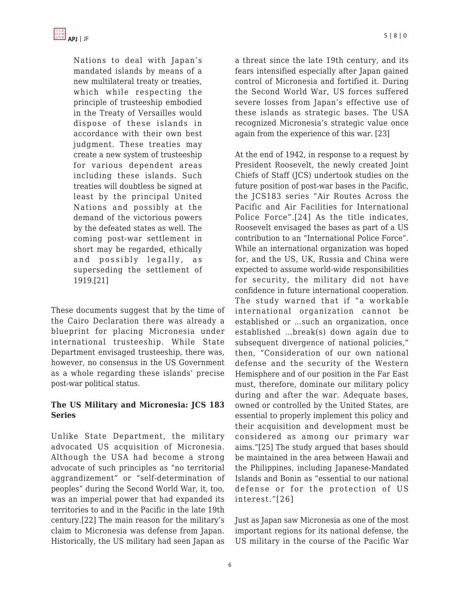APJ | JF 5 | 8 | 0

Nations to deal with Japan's mandated islands by means of a new multilateral treaty or treaties, which while respecting the principle of trusteeship embodied in the Treaty of Versailles would dispose of these islands in accordance with their own best judgment. These treaties may create a new system of trusteeship for various dependent areas including these islands. Such treaties will doubtless be signed at least by the principal United Nations and possibly at the demand of the victorious powers by the defeated states as well. The coming post-war settlement in short may be regarded, ethically and possibly legally, as superseding the settlement of 1919.[21]

These documents suggest that by the time of the Cairo Declaration there was already a blueprint for placing Micronesia under international trusteeship. While State Department envisaged trusteeship, there was, however, no consensus in the US Government as a whole regarding these islands' precise post-war political status.

# **The US Military and Micronesia: JCS 183 Series**

Unlike State Department, the military advocated US acquisition of Micronesia. Although the USA had become a strong advocate of such principles as "no territorial aggrandizement" or "self-determination of peoples" during the Second World War, it, too, was an imperial power that had expanded its territories to and in the Pacific in the late 19th century.[22] The main reason for the military's claim to Micronesia was defense from Japan. Historically, the US military had seen Japan as a threat since the late 19th century, and its fears intensified especially after Japan gained control of Micronesia and fortified it. During the Second World War, US forces suffered severe losses from Japan's effective use of these islands as strategic bases. The USA recognized Micronesia's strategic value once again from the experience of this war. [23]

At the end of 1942, in response to a request by President Roosevelt, the newly created Joint Chiefs of Staff (JCS) undertook studies on the future position of post-war bases in the Pacific, the JCS183 series "Air Routes Across the Pacific and Air Facilities for International Police Force".[24] As the title indicates, Roosevelt envisaged the bases as part of a US contribution to an "International Police Force". While an international organization was hoped for, and the US, UK, Russia and China were expected to assume world-wide responsibilities for security, the military did not have confidence in future international cooperation. The study warned that if "a workable international organization cannot be established or …such an organization, once established …break(s) down again due to subsequent divergence of national policies," then, "Consideration of our own national defense and the security of the Western Hemisphere and of our position in the Far East must, therefore, dominate our military policy during and after the war. Adequate bases, owned or controlled by the United States, are essential to properly implement this policy and their acquisition and development must be considered as among our primary war aims."[25] The study argued that bases should be maintained in the area between Hawaii and the Philippines, including Japanese-Mandated Islands and Bonin as "essential to our national defense or for the protection of US interest."[26]

Just as Japan saw Micronesia as one of the most important regions for its national defense, the US military in the course of the Pacific War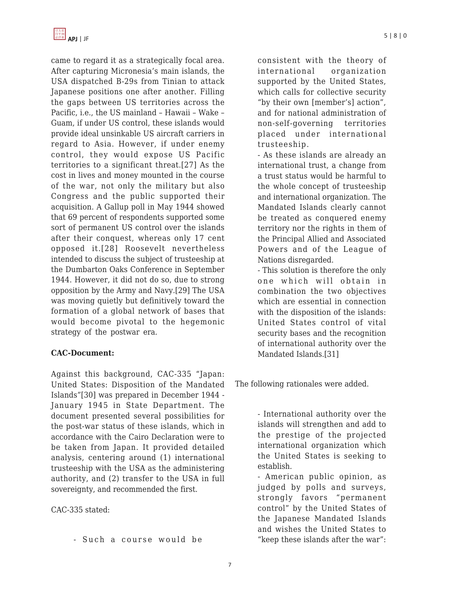came to regard it as a strategically focal area. After capturing Micronesia's main islands, the USA dispatched B-29s from Tinian to attack Japanese positions one after another. Filling the gaps between US territories across the Pacific, i.e., the US mainland – Hawaii – Wake – Guam, if under US control, these islands would provide ideal unsinkable US aircraft carriers in regard to Asia. However, if under enemy control, they would expose US Pacific territories to a significant threat.[27] As the cost in lives and money mounted in the course of the war, not only the military but also Congress and the public supported their acquisition. A Gallup poll in May 1944 showed that 69 percent of respondents supported some sort of permanent US control over the islands after their conquest, whereas only 17 cent opposed it.[28] Roosevelt nevertheless intended to discuss the subject of trusteeship at the Dumbarton Oaks Conference in September 1944. However, it did not do so, due to strong opposition by the Army and Navy.[29] The USA was moving quietly but definitively toward the formation of a global network of bases that would become pivotal to the hegemonic strategy of the postwar era.

# **CAC-Document:**

Against this background, CAC-335 "Japan: United States: Disposition of the Mandated Islands"[30] was prepared in December 1944 - January 1945 in State Department. The document presented several possibilities for the post-war status of these islands, which in accordance with the Cairo Declaration were to be taken from Japan. It provided detailed analysis, centering around (1) international trusteeship with the USA as the administering authority, and (2) transfer to the USA in full sovereignty, and recommended the first.

CAC-335 stated:

consistent with the theory of international organization supported by the United States, which calls for collective security "by their own [member's] action", and for national administration of non-self-governing territories placed under international trusteeship.

- As these islands are already an international trust, a change from a trust status would be harmful to the whole concept of trusteeship and international organization. The Mandated Islands clearly cannot be treated as conquered enemy territory nor the rights in them of the Principal Allied and Associated Powers and of the League of Nations disregarded.

- This solution is therefore the only one which will obtain in combination the two objectives which are essential in connection with the disposition of the islands: United States control of vital security bases and the recognition of international authority over the Mandated Islands.[31]

The following rationales were added.

- International authority over the islands will strengthen and add to the prestige of the projected international organization which the United States is seeking to establish.

- American public opinion, as judged by polls and surveys, strongly favors "permanent control" by the United States of the Japanese Mandated Islands and wishes the United States to "keep these islands after the war":

<sup>-</sup> Such a course would be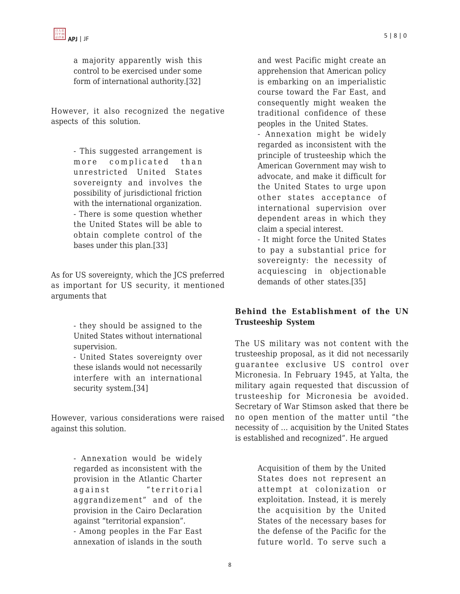a majority apparently wish this control to be exercised under some form of international authority.[32]

However, it also recognized the negative aspects of this solution.

> - This suggested arrangement is more complicated than unrestricted United States sovereignty and involves the possibility of jurisdictional friction with the international organization. - There is some question whether the United States will be able to obtain complete control of the bases under this plan.[33]

As for US sovereignty, which the JCS preferred as important for US security, it mentioned arguments that

> - they should be assigned to the United States without international supervision.

> - United States sovereignty over these islands would not necessarily interfere with an international security system.[34]

However, various considerations were raised against this solution.

> - Annexation would be widely regarded as inconsistent with the provision in the Atlantic Charter against "territorial aggrandizement" and of the provision in the Cairo Declaration against "territorial expansion".

> - Among peoples in the Far East annexation of islands in the south

and west Pacific might create an apprehension that American policy is embarking on an imperialistic course toward the Far East, and consequently might weaken the traditional confidence of these peoples in the United States.

- Annexation might be widely regarded as inconsistent with the principle of trusteeship which the American Government may wish to advocate, and make it difficult for the United States to urge upon other states acceptance of international supervision over dependent areas in which they claim a special interest.

- It might force the United States to pay a substantial price for sovereignty: the necessity of acquiescing in objectionable demands of other states.[35]

# **Behind the Establishment of the UN Trusteeship System**

The US military was not content with the trusteeship proposal, as it did not necessarily guarantee exclusive US control over Micronesia. In February 1945, at Yalta, the military again requested that discussion of trusteeship for Micronesia be avoided. Secretary of War Stimson asked that there be no open mention of the matter until "the necessity of … acquisition by the United States is established and recognized". He argued

> Acquisition of them by the United States does not represent an attempt at colonization or exploitation. Instead, it is merely the acquisition by the United States of the necessary bases for the defense of the Pacific for the future world. To serve such a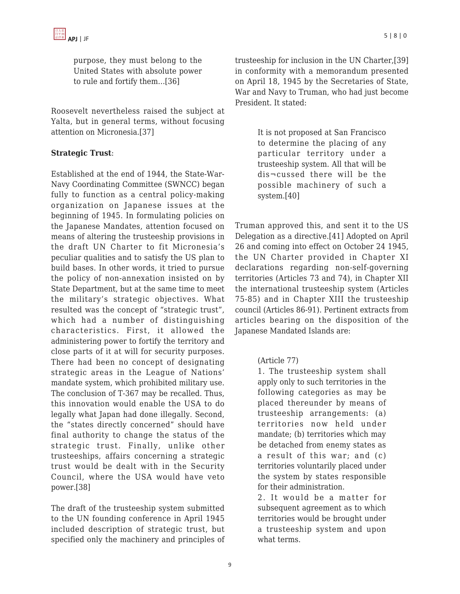purpose, they must belong to the United States with absolute power to rule and fortify them…[36]

Roosevelt nevertheless raised the subject at Yalta, but in general terms, without focusing attention on Micronesia.[37]

### **Strategic Trust**:

Established at the end of 1944, the State-War-Navy Coordinating Committee (SWNCC) began fully to function as a central policy-making organization on Japanese issues at the beginning of 1945. In formulating policies on the Japanese Mandates, attention focused on means of altering the trusteeship provisions in the draft UN Charter to fit Micronesia's peculiar qualities and to satisfy the US plan to build bases. In other words, it tried to pursue the policy of non-annexation insisted on by State Department, but at the same time to meet the military's strategic objectives. What resulted was the concept of "strategic trust", which had a number of distinguishing characteristics. First, it allowed the administering power to fortify the territory and close parts of it at will for security purposes. There had been no concept of designating strategic areas in the League of Nations' mandate system, which prohibited military use. The conclusion of T-367 may be recalled. Thus, this innovation would enable the USA to do legally what Japan had done illegally. Second, the "states directly concerned" should have final authority to change the status of the strategic trust. Finally, unlike other trusteeships, affairs concerning a strategic trust would be dealt with in the Security Council, where the USA would have veto power.[38]

The draft of the trusteeship system submitted to the UN founding conference in April 1945 included description of strategic trust, but specified only the machinery and principles of trusteeship for inclusion in the UN Charter,[39] in conformity with a memorandum presented on April 18, 1945 by the Secretaries of State, War and Navy to Truman, who had just become President. It stated:

> It is not proposed at San Francisco to determine the placing of any particular territory under a trusteeship system. All that will be dis¬cussed there will be the possible machinery of such a system.[40]

Truman approved this, and sent it to the US Delegation as a directive.[41] Adopted on April 26 and coming into effect on October 24 1945, the UN Charter provided in Chapter XI declarations regarding non-self-governing territories (Articles 73 and 74), in Chapter XII the international trusteeship system (Articles 75-85) and in Chapter XIII the trusteeship council (Articles 86-91). Pertinent extracts from articles bearing on the disposition of the Japanese Mandated Islands are:

# (Article 77)

1. The trusteeship system shall apply only to such territories in the following categories as may be placed thereunder by means of trusteeship arrangements: (a) territories now held under mandate; (b) territories which may be detached from enemy states as a result of this war; and (c) territories voluntarily placed under the system by states responsible for their administration.

2. It would be a matter for subsequent agreement as to which territories would be brought under a trusteeship system and upon what terms.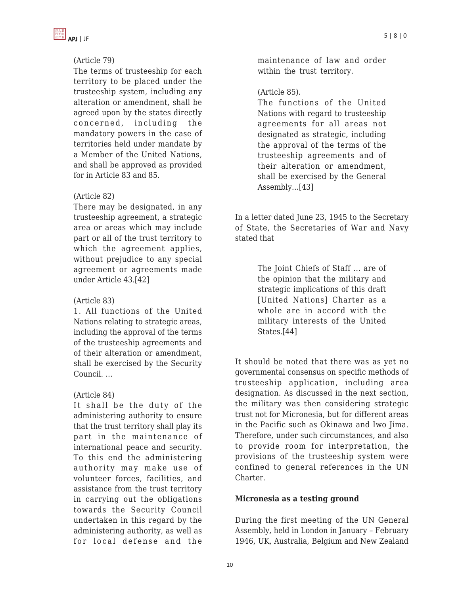

# (Article 79)

The terms of trusteeship for each territory to be placed under the trusteeship system, including any alteration or amendment, shall be agreed upon by the states directly concerned, including the mandatory powers in the case of territories held under mandate by a Member of the United Nations, and shall be approved as provided for in Article 83 and 85.

### (Article 82)

There may be designated, in any trusteeship agreement, a strategic area or areas which may include part or all of the trust territory to which the agreement applies, without prejudice to any special agreement or agreements made under Article 43.[42]

#### (Article 83)

1. All functions of the United Nations relating to strategic areas, including the approval of the terms of the trusteeship agreements and of their alteration or amendment, shall be exercised by the Security Council. …

### (Article 84)

It shall be the duty of the administering authority to ensure that the trust territory shall play its part in the maintenance of international peace and security. To this end the administering authority may make use of volunteer forces, facilities, and assistance from the trust territory in carrying out the obligations towards the Security Council undertaken in this regard by the administering authority, as well as for local defense and the maintenance of law and order within the trust territory.

(Article 85).

The functions of the United Nations with regard to trusteeship agreements for all areas not designated as strategic, including the approval of the terms of the trusteeship agreements and of their alteration or amendment, shall be exercised by the General Assembly…[43]

In a letter dated June 23, 1945 to the Secretary of State, the Secretaries of War and Navy stated that

> The Joint Chiefs of Staff … are of the opinion that the military and strategic implications of this draft [United Nations] Charter as a whole are in accord with the military interests of the United States.[44]

It should be noted that there was as yet no governmental consensus on specific methods of trusteeship application, including area designation. As discussed in the next section, the military was then considering strategic trust not for Micronesia, but for different areas in the Pacific such as Okinawa and Iwo Jima. Therefore, under such circumstances, and also to provide room for interpretation, the provisions of the trusteeship system were confined to general references in the UN Charter.

### **Micronesia as a testing ground**

During the first meeting of the UN General Assembly, held in London in January – February 1946, UK, Australia, Belgium and New Zealand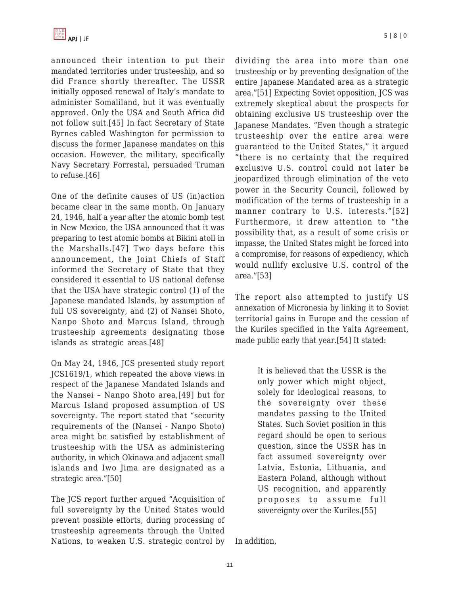

announced their intention to put their mandated territories under trusteeship, and so did France shortly thereafter. The USSR initially opposed renewal of Italy's mandate to administer Somaliland, but it was eventually approved. Only the USA and South Africa did not follow suit.[45] In fact Secretary of State Byrnes cabled Washington for permission to discuss the former Japanese mandates on this occasion. However, the military, specifically Navy Secretary Forrestal, persuaded Truman to refuse.[46]

One of the definite causes of US (in)action became clear in the same month. On January 24, 1946, half a year after the atomic bomb test in New Mexico, the USA announced that it was preparing to test atomic bombs at Bikini atoll in the Marshalls.[47] Two days before this announcement, the Joint Chiefs of Staff informed the Secretary of State that they considered it essential to US national defense that the USA have strategic control (1) of the Japanese mandated Islands, by assumption of full US sovereignty, and (2) of Nansei Shoto, Nanpo Shoto and Marcus Island, through trusteeship agreements designating those islands as strategic areas.[48]

On May 24, 1946, JCS presented study report JCS1619/1, which repeated the above views in respect of the Japanese Mandated Islands and the Nansei – Nanpo Shoto area,[49] but for Marcus Island proposed assumption of US sovereignty. The report stated that "security requirements of the (Nansei - Nanpo Shoto) area might be satisfied by establishment of trusteeship with the USA as administering authority, in which Okinawa and adjacent small islands and Iwo Jima are designated as a strategic area."[50]

The JCS report further argued "Acquisition of full sovereignty by the United States would prevent possible efforts, during processing of trusteeship agreements through the United Nations, to weaken U.S. strategic control by dividing the area into more than one trusteeship or by preventing designation of the entire Japanese Mandated area as a strategic area."[51] Expecting Soviet opposition, JCS was extremely skeptical about the prospects for obtaining exclusive US trusteeship over the Japanese Mandates. "Even though a strategic trusteeship over the entire area were guaranteed to the United States," it argued "there is no certainty that the required exclusive U.S. control could not later be jeopardized through elimination of the veto power in the Security Council, followed by modification of the terms of trusteeship in a manner contrary to U.S. interests."[52] Furthermore, it drew attention to "the possibility that, as a result of some crisis or impasse, the United States might be forced into a compromise, for reasons of expediency, which would nullify exclusive U.S. control of the area."[53]

The report also attempted to justify US annexation of Micronesia by linking it to Soviet territorial gains in Europe and the cession of the Kuriles specified in the Yalta Agreement, made public early that year.[54] It stated:

> It is believed that the USSR is the only power which might object, solely for ideological reasons, to the sovereignty over these mandates passing to the United States. Such Soviet position in this regard should be open to serious question, since the USSR has in fact assumed sovereignty over Latvia, Estonia, Lithuania, and Eastern Poland, although without US recognition, and apparently proposes to assume full sovereignty over the Kuriles.[55]

In addition,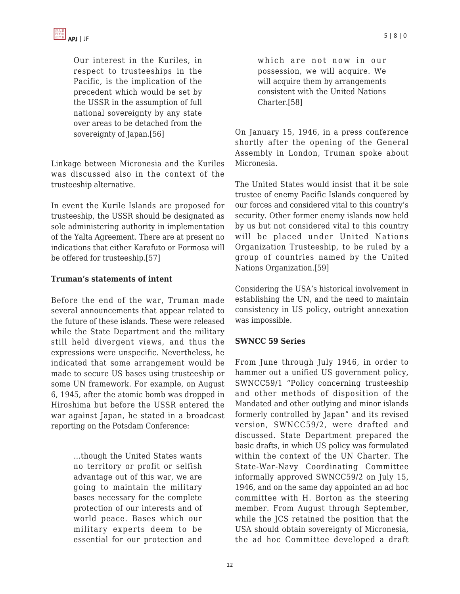

Our interest in the Kuriles, in respect to trusteeships in the Pacific, is the implication of the precedent which would be set by the USSR in the assumption of full national sovereignty by any state over areas to be detached from the sovereignty of Japan.[56]

Linkage between Micronesia and the Kuriles was discussed also in the context of the trusteeship alternative.

In event the Kurile Islands are proposed for trusteeship, the USSR should be designated as sole administering authority in implementation of the Yalta Agreement. There are at present no indications that either Karafuto or Formosa will be offered for trusteeship.[57]

#### **Truman's statements of intent**

Before the end of the war, Truman made several announcements that appear related to the future of these islands. These were released while the State Department and the military still held divergent views, and thus the expressions were unspecific. Nevertheless, he indicated that some arrangement would be made to secure US bases using trusteeship or some UN framework. For example, on August 6, 1945, after the atomic bomb was dropped in Hiroshima but before the USSR entered the war against Japan, he stated in a broadcast reporting on the Potsdam Conference:

> …though the United States wants no territory or profit or selfish advantage out of this war, we are going to maintain the military bases necessary for the complete protection of our interests and of world peace. Bases which our military experts deem to be essential for our protection and

which are not now in our possession, we will acquire. We will acquire them by arrangements consistent with the United Nations Charter.[58]

On January 15, 1946, in a press conference shortly after the opening of the General Assembly in London, Truman spoke about Micronesia.

The United States would insist that it be sole trustee of enemy Pacific Islands conquered by our forces and considered vital to this country's security. Other former enemy islands now held by us but not considered vital to this country will be placed under United Nations Organization Trusteeship, to be ruled by a group of countries named by the United Nations Organization.[59]

Considering the USA's historical involvement in establishing the UN, and the need to maintain consistency in US policy, outright annexation was impossible.

#### **SWNCC 59 Series**

From June through July 1946, in order to hammer out a unified US government policy, SWNCC59/1 "Policy concerning trusteeship and other methods of disposition of the Mandated and other outlying and minor islands formerly controlled by Japan" and its revised version, SWNCC59/2, were drafted and discussed. State Department prepared the basic drafts, in which US policy was formulated within the context of the UN Charter. The State-War-Navy Coordinating Committee informally approved SWNCC59/2 on July 15, 1946, and on the same day appointed an ad hoc committee with H. Borton as the steering member. From August through September, while the JCS retained the position that the USA should obtain sovereignty of Micronesia, the ad hoc Committee developed a draft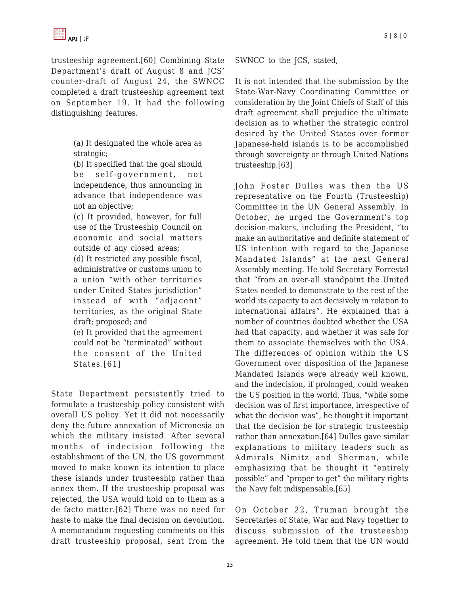trusteeship agreement.[60] Combining State Department's draft of August 8 and JCS' counter-draft of August 24, the SWNCC completed a draft trusteeship agreement text on September 19. It had the following distinguishing features.

> (a) It designated the whole area as strategic;

(b) It specified that the goal should be self-government, not independence, thus announcing in advance that independence was not an objective;

(c) It provided, however, for full use of the Trusteeship Council on economic and social matters outside of any closed areas;

(d) It restricted any possible fiscal, administrative or customs union to a union "with other territories under United States jurisdiction" instead of with "adjacent" territories, as the original State draft; proposed; and

(e) It provided that the agreement could not be "terminated" without the consent of the United States.[61]

State Department persistently tried to formulate a trusteeship policy consistent with overall US policy. Yet it did not necessarily deny the future annexation of Micronesia on which the military insisted. After several months of indecision following the establishment of the UN, the US government moved to make known its intention to place these islands under trusteeship rather than annex them. If the trusteeship proposal was rejected, the USA would hold on to them as a de facto matter.[62] There was no need for haste to make the final decision on devolution. A memorandum requesting comments on this draft trusteeship proposal, sent from the SWNCC to the JCS, stated,

It is not intended that the submission by the State-War-Navy Coordinating Committee or consideration by the Joint Chiefs of Staff of this draft agreement shall prejudice the ultimate decision as to whether the strategic control desired by the United States over former Japanese-held islands is to be accomplished through sovereignty or through United Nations trusteeship.[63]

John Foster Dulles was then the US representative on the Fourth (Trusteeship) Committee in the UN General Assembly. In October, he urged the Government's top decision-makers, including the President, "to make an authoritative and definite statement of US intention with regard to the Japanese Mandated Islands" at the next General Assembly meeting. He told Secretary Forrestal that "from an over-all standpoint the United States needed to demonstrate to the rest of the world its capacity to act decisively in relation to international affairs". He explained that a number of countries doubted whether the USA had that capacity, and whether it was safe for them to associate themselves with the USA. The differences of opinion within the US Government over disposition of the Japanese Mandated Islands were already well known, and the indecision, if prolonged, could weaken the US position in the world. Thus, "while some decision was of first importance, irrespective of what the decision was", he thought it important that the decision be for strategic trusteeship rather than annexation.[64] Dulles gave similar explanations to military leaders such as Admirals Nimitz and Sherman, while emphasizing that he thought it "entirely possible" and "proper to get" the military rights the Navy felt indispensable.[65]

On October 22, Truman brought the Secretaries of State, War and Navy together to discuss submission of the trusteeship agreement. He told them that the UN would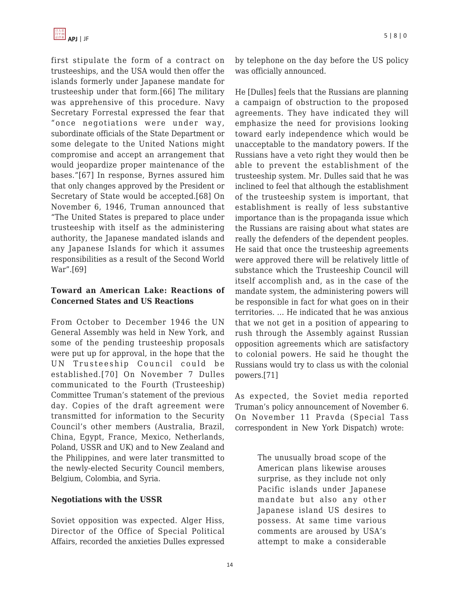first stipulate the form of a contract on trusteeships, and the USA would then offer the islands formerly under Japanese mandate for trusteeship under that form.[66] The military was apprehensive of this procedure. Navy Secretary Forrestal expressed the fear that "once negotiations were under way, subordinate officials of the State Department or some delegate to the United Nations might compromise and accept an arrangement that would jeopardize proper maintenance of the bases."[67] In response, Byrnes assured him that only changes approved by the President or Secretary of State would be accepted.[68] On November 6, 1946, Truman announced that "The United States is prepared to place under trusteeship with itself as the administering authority, the Japanese mandated islands and any Japanese Islands for which it assumes responsibilities as a result of the Second World War".[69]

# **Toward an American Lake: Reactions of Concerned States and US Reactions**

From October to December 1946 the UN General Assembly was held in New York, and some of the pending trusteeship proposals were put up for approval, in the hope that the UN Trusteeship Council could be established.[70] On November 7 Dulles communicated to the Fourth (Trusteeship) Committee Truman's statement of the previous day. Copies of the draft agreement were transmitted for information to the Security Council's other members (Australia, Brazil, China, Egypt, France, Mexico, Netherlands, Poland, USSR and UK) and to New Zealand and the Philippines, and were later transmitted to the newly-elected Security Council members, Belgium, Colombia, and Syria.

### **Negotiations with the USSR**

Soviet opposition was expected. Alger Hiss, Director of the Office of Special Political Affairs, recorded the anxieties Dulles expressed by telephone on the day before the US policy was officially announced.

He [Dulles] feels that the Russians are planning a campaign of obstruction to the proposed agreements. They have indicated they will emphasize the need for provisions looking toward early independence which would be unacceptable to the mandatory powers. If the Russians have a veto right they would then be able to prevent the establishment of the trusteeship system. Mr. Dulles said that he was inclined to feel that although the establishment of the trusteeship system is important, that establishment is really of less substantive importance than is the propaganda issue which the Russians are raising about what states are really the defenders of the dependent peoples. He said that once the trusteeship agreements were approved there will be relatively little of substance which the Trusteeship Council will itself accomplish and, as in the case of the mandate system, the administering powers will be responsible in fact for what goes on in their territories. … He indicated that he was anxious that we not get in a position of appearing to rush through the Assembly against Russian opposition agreements which are satisfactory to colonial powers. He said he thought the Russians would try to class us with the colonial powers.[71]

As expected, the Soviet media reported Truman's policy announcement of November 6. On November 11 Pravda (Special Tass correspondent in New York Dispatch) wrote:

> The unusually broad scope of the American plans likewise arouses surprise, as they include not only Pacific islands under Japanese mandate but also any other Japanese island US desires to possess. At same time various comments are aroused by USA's attempt to make a considerable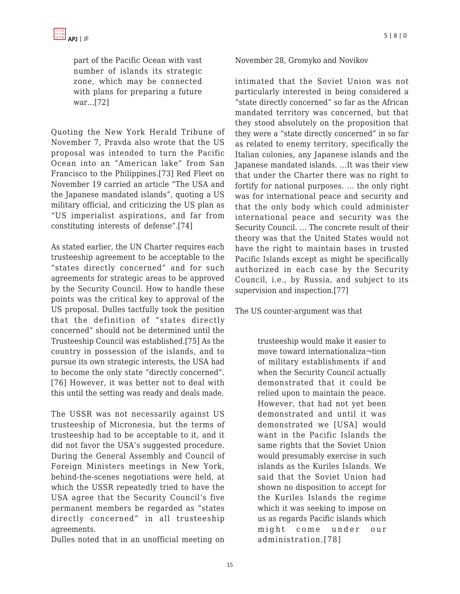part of the Pacific Ocean with vast number of islands its strategic zone, which may be connected with plans for preparing a future war…[72]

Quoting the New York Herald Tribune of November 7, Pravda also wrote that the US proposal was intended to turn the Pacific Ocean into an "American lake" from San Francisco to the Philippines.[73] Red Fleet on November 19 carried an article "The USA and the Japanese mandated islands", quoting a US military official, and criticizing the US plan as "US imperialist aspirations, and far from constituting interests of defense".[74]

As stated earlier, the UN Charter requires each trusteeship agreement to be acceptable to the "states directly concerned" and for such agreements for strategic areas to be approved by the Security Council. How to handle these points was the critical key to approval of the US proposal. Dulles tactfully took the position that the definition of "states directly concerned" should not be determined until the Trusteeship Council was established.[75] As the country in possession of the islands, and to pursue its own strategic interests, the USA had to become the only state "directly concerned". [76] However, it was better not to deal with this until the setting was ready and deals made.

The USSR was not necessarily against US trusteeship of Micronesia, but the terms of trusteeship had to be acceptable to it, and it did not favor the USA's suggested procedure. During the General Assembly and Council of Foreign Ministers meetings in New York, behind-the-scenes negotiations were held, at which the USSR repeatedly tried to have the USA agree that the Security Council's five permanent members be regarded as "states directly concerned" in all trusteeship agreements.

Dulles noted that in an unofficial meeting on

November 28, Gromyko and Novikov

intimated that the Soviet Union was not particularly interested in being considered a "state directly concerned" so far as the African mandated territory was concerned, but that they stood absolutely on the proposition that they were a "state directly concerned" in so far as related to enemy territory, specifically the Italian colonies, any Japanese islands and the Japanese mandated islands. …It was their view that under the Charter there was no right to fortify for national purposes. … the only right was for international peace and security and that the only body which could administer international peace and security was the Security Council. … The concrete result of their theory was that the United States would not have the right to maintain bases in trusted Pacific Islands except as might be specifically authorized in each case by the Security Council, i.e., by Russia, and subject to its supervision and inspection.[77]

The US counter-argument was that

trusteeship would make it easier to move toward internationaliza¬tion of military establishments if and when the Security Council actually demonstrated that it could be relied upon to maintain the peace. However, that had not yet been demonstrated and until it was demonstrated we [USA] would want in the Pacific Islands the same rights that the Soviet Union would presumably exercise in such islands as the Kuriles Islands. We said that the Soviet Union had shown no disposition to accept for the Kuriles Islands the regime which it was seeking to impose on us as regards Pacific islands which might come under our administration.[78]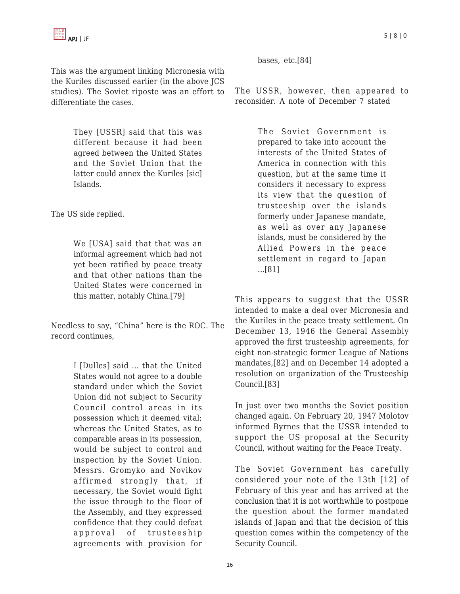This was the argument linking Micronesia with the Kuriles discussed earlier (in the above JCS studies). The Soviet riposte was an effort to differentiate the cases.

> They [USSR] said that this was different because it had been agreed between the United States and the Soviet Union that the latter could annex the Kuriles [sic] Islands.

The US side replied.

We [USA] said that that was an informal agreement which had not yet been ratified by peace treaty and that other nations than the United States were concerned in this matter, notably China.[79]

Needless to say, "China" here is the ROC. The record continues,

> I [Dulles] said … that the United States would not agree to a double standard under which the Soviet Union did not subject to Security Council control areas in its possession which it deemed vital; whereas the United States, as to comparable areas in its possession, would be subject to control and inspection by the Soviet Union. Messrs. Gromyko and Novikov affirmed strongly that, if necessary, the Soviet would fight the issue through to the floor of the Assembly, and they expressed confidence that they could defeat approval of trusteeship agreements with provision for

bases, etc.[84]

The USSR, however, then appeared to reconsider. A note of December 7 stated

> The Soviet Government is prepared to take into account the interests of the United States of America in connection with this question, but at the same time it considers it necessary to express its view that the question of trusteeship over the islands formerly under Japanese mandate, as well as over any Japanese islands, must be considered by the Allied Powers in the peace settlement in regard to Japan …[81]

This appears to suggest that the USSR intended to make a deal over Micronesia and the Kuriles in the peace treaty settlement. On December 13, 1946 the General Assembly approved the first trusteeship agreements, for eight non-strategic former League of Nations mandates,[82] and on December 14 adopted a resolution on organization of the Trusteeship Council.[83]

In just over two months the Soviet position changed again. On February 20, 1947 Molotov informed Byrnes that the USSR intended to support the US proposal at the Security Council, without waiting for the Peace Treaty.

The Soviet Government has carefully considered your note of the 13th [12] of February of this year and has arrived at the conclusion that it is not worthwhile to postpone the question about the former mandated islands of Japan and that the decision of this question comes within the competency of the Security Council.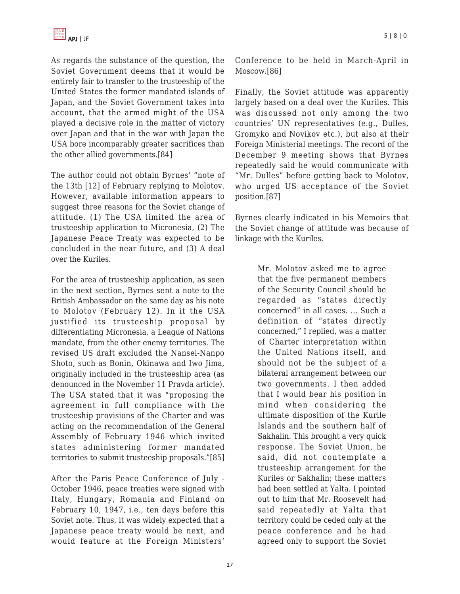As regards the substance of the question, the Soviet Government deems that it would be entirely fair to transfer to the trusteeship of the United States the former mandated islands of Japan, and the Soviet Government takes into account, that the armed might of the USA played a decisive role in the matter of victory over Japan and that in the war with Japan the USA bore incomparably greater sacrifices than the other allied governments.[84]

The author could not obtain Byrnes' "note of the 13th [12] of February replying to Molotov. However, available information appears to suggest three reasons for the Soviet change of attitude. (1) The USA limited the area of trusteeship application to Micronesia, (2) The Japanese Peace Treaty was expected to be concluded in the near future, and (3) A deal over the Kuriles.

For the area of trusteeship application, as seen in the next section, Byrnes sent a note to the British Ambassador on the same day as his note to Molotov (February 12). In it the USA justified its trusteeship proposal by differentiating Micronesia, a League of Nations mandate, from the other enemy territories. The revised US draft excluded the Nansei-Nanpo Shoto, such as Bonin, Okinawa and Iwo Jima, originally included in the trusteeship area (as denounced in the November 11 Pravda article). The USA stated that it was "proposing the agreement in full compliance with the trusteeship provisions of the Charter and was acting on the recommendation of the General Assembly of February 1946 which invited states administering former mandated territories to submit trusteeship proposals."[85]

After the Paris Peace Conference of July - October 1946, peace treaties were signed with Italy, Hungary, Romania and Finland on February 10, 1947, i.e., ten days before this Soviet note. Thus, it was widely expected that a Japanese peace treaty would be next, and would feature at the Foreign Ministers'

Conference to be held in March-April in Moscow.[86]

Finally, the Soviet attitude was apparently largely based on a deal over the Kuriles. This was discussed not only among the two countries' UN representatives (e.g., Dulles, Gromyko and Novikov etc.), but also at their Foreign Ministerial meetings. The record of the December 9 meeting shows that Byrnes repeatedly said he would communicate with "Mr. Dulles" before getting back to Molotov, who urged US acceptance of the Soviet position.[87]

Byrnes clearly indicated in his Memoirs that the Soviet change of attitude was because of linkage with the Kuriles.

> Mr. Molotov asked me to agree that the five permanent members of the Security Council should be regarded as "states directly concerned" in all cases. … Such a definition of "states directly concerned," I replied, was a matter of Charter interpretation within the United Nations itself, and should not be the subject of a bilateral arrangement between our two governments. I then added that I would bear his position in mind when considering the ultimate disposition of the Kurile Islands and the southern half of Sakhalin. This brought a very quick response. The Soviet Union, he said, did not contemplate a trusteeship arrangement for the Kuriles or Sakhalin; these matters had been settled at Yalta. I pointed out to him that Mr. Roosevelt had said repeatedly at Yalta that territory could be ceded only at the peace conference and he had agreed only to support the Soviet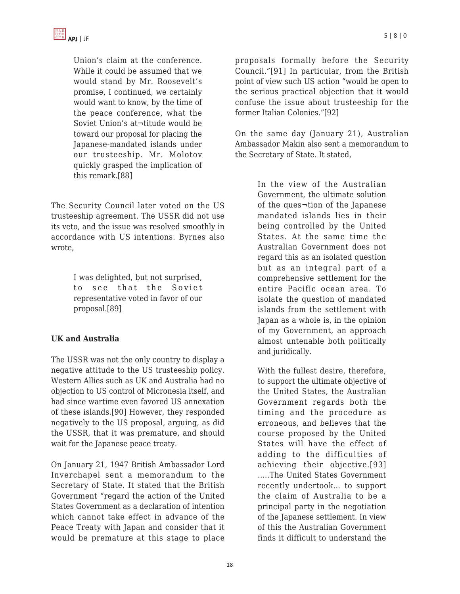

Union's claim at the conference. While it could be assumed that we would stand by Mr. Roosevelt's promise, I continued, we certainly would want to know, by the time of the peace conference, what the Soviet Union's at¬titude would be toward our proposal for placing the Japanese-mandated islands under our trusteeship. Mr. Molotov quickly grasped the implication of this remark.[88]

The Security Council later voted on the US trusteeship agreement. The USSR did not use its veto, and the issue was resolved smoothly in accordance with US intentions. Byrnes also wrote,

> I was delighted, but not surprised, to see that the Soviet representative voted in favor of our proposal.[89]

### **UK and Australia**

The USSR was not the only country to display a negative attitude to the US trusteeship policy. Western Allies such as UK and Australia had no objection to US control of Micronesia itself, and had since wartime even favored US annexation of these islands.[90] However, they responded negatively to the US proposal, arguing, as did the USSR, that it was premature, and should wait for the Japanese peace treaty.

On January 21, 1947 British Ambassador Lord Inverchapel sent a memorandum to the Secretary of State. It stated that the British Government "regard the action of the United States Government as a declaration of intention which cannot take effect in advance of the Peace Treaty with Japan and consider that it would be premature at this stage to place proposals formally before the Security Council."[91] In particular, from the British point of view such US action "would be open to the serious practical objection that it would confuse the issue about trusteeship for the former Italian Colonies."[92]

On the same day (January 21), Australian Ambassador Makin also sent a memorandum to the Secretary of State. It stated,

> In the view of the Australian Government, the ultimate solution of the ques¬tion of the Japanese mandated islands lies in their being controlled by the United States. At the same time the Australian Government does not regard this as an isolated question but as an integral part of a comprehensive settlement for the entire Pacific ocean area. To isolate the question of mandated islands from the settlement with Japan as a whole is, in the opinion of my Government, an approach almost untenable both politically and juridically.

> With the fullest desire, therefore, to support the ultimate objective of the United States, the Australian Government regards both the timing and the procedure as erroneous, and believes that the course proposed by the United States will have the effect of adding to the difficulties of achieving their objective.[93] …..The United States Government recently undertook… to support the claim of Australia to be a principal party in the negotiation of the Japanese settlement. In view of this the Australian Government finds it difficult to understand the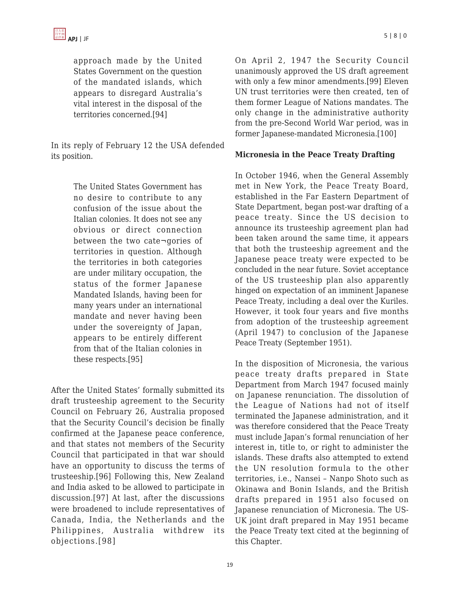approach made by the United States Government on the question of the mandated islands, which appears to disregard Australia's vital interest in the disposal of the territories concerned.[94]

In its reply of February 12 the USA defended its position.

> The United States Government has no desire to contribute to any confusion of the issue about the Italian colonies. It does not see any obvious or direct connection between the two cate¬gories of territories in question. Although the territories in both categories are under military occupation, the status of the former Japanese Mandated Islands, having been for many years under an international mandate and never having been under the sovereignty of Japan, appears to be entirely different from that of the Italian colonies in these respects.[95]

After the United States' formally submitted its draft trusteeship agreement to the Security Council on February 26, Australia proposed that the Security Council's decision be finally confirmed at the Japanese peace conference, and that states not members of the Security Council that participated in that war should have an opportunity to discuss the terms of trusteeship.[96] Following this, New Zealand and India asked to be allowed to participate in discussion.[97] At last, after the discussions were broadened to include representatives of Canada, India, the Netherlands and the Philippines, Australia withdrew its objections.[98]

On April 2, 1947 the Security Council unanimously approved the US draft agreement with only a few minor amendments.[99] Eleven UN trust territories were then created, ten of them former League of Nations mandates. The only change in the administrative authority from the pre-Second World War period, was in former Japanese-mandated Micronesia.[100]

### **Micronesia in the Peace Treaty Drafting**

In October 1946, when the General Assembly met in New York, the Peace Treaty Board, established in the Far Eastern Department of State Department, began post-war drafting of a peace treaty. Since the US decision to announce its trusteeship agreement plan had been taken around the same time, it appears that both the trusteeship agreement and the Japanese peace treaty were expected to be concluded in the near future. Soviet acceptance of the US trusteeship plan also apparently hinged on expectation of an imminent Japanese Peace Treaty, including a deal over the Kuriles. However, it took four years and five months from adoption of the trusteeship agreement (April 1947) to conclusion of the Japanese Peace Treaty (September 1951).

In the disposition of Micronesia, the various peace treaty drafts prepared in State Department from March 1947 focused mainly on Japanese renunciation. The dissolution of the League of Nations had not of itself terminated the Japanese administration, and it was therefore considered that the Peace Treaty must include Japan's formal renunciation of her interest in, title to, or right to administer the islands. These drafts also attempted to extend the UN resolution formula to the other territories, i.e., Nansei – Nanpo Shoto such as Okinawa and Bonin Islands, and the British drafts prepared in 1951 also focused on Japanese renunciation of Micronesia. The US-UK joint draft prepared in May 1951 became the Peace Treaty text cited at the beginning of this Chapter.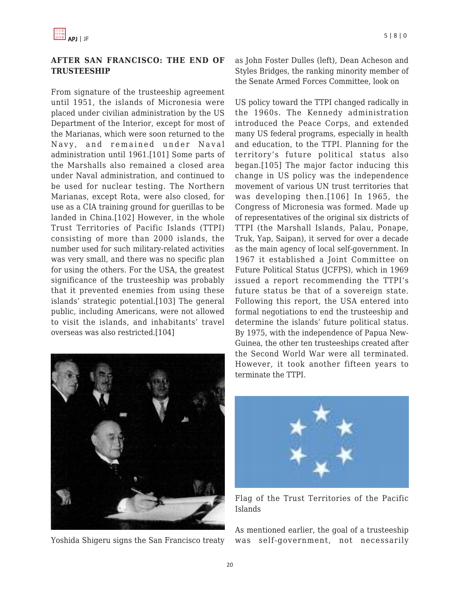#### **AFTER SAN FRANCISCO: THE END OF TRUSTEESHIP**

From signature of the trusteeship agreement until 1951, the islands of Micronesia were placed under civilian administration by the US Department of the Interior, except for most of the Marianas, which were soon returned to the Navy, and remained under Naval administration until 1961.[101] Some parts of the Marshalls also remained a closed area under Naval administration, and continued to be used for nuclear testing. The Northern Marianas, except Rota, were also closed, for use as a CIA training ground for guerillas to be landed in China.[102] However, in the whole Trust Territories of Pacific Islands (TTPI) consisting of more than 2000 islands, the number used for such military-related activities was very small, and there was no specific plan for using the others. For the USA, the greatest significance of the trusteeship was probably that it prevented enemies from using these islands' strategic potential.[103] The general public, including Americans, were not allowed to visit the islands, and inhabitants' travel overseas was also restricted.[104]



Yoshida Shigeru signs the San Francisco treaty

as John Foster Dulles (left), Dean Acheson and Styles Bridges, the ranking minority member of the Senate Armed Forces Committee, look on

US policy toward the TTPI changed radically in the 1960s. The Kennedy administration introduced the Peace Corps, and extended many US federal programs, especially in health and education, to the TTPI. Planning for the territory's future political status also began.[105] The major factor inducing this change in US policy was the independence movement of various UN trust territories that was developing then.[106] In 1965, the Congress of Micronesia was formed. Made up of representatives of the original six districts of TTPI (the Marshall Islands, Palau, Ponape, Truk, Yap, Saipan), it served for over a decade as the main agency of local self-government. In 1967 it established a Joint Committee on Future Political Status (JCFPS), which in 1969 issued a report recommending the TTPI's future status be that of a sovereign state. Following this report, the USA entered into formal negotiations to end the trusteeship and determine the islands' future political status. By 1975, with the independence of Papua New-Guinea, the other ten trusteeships created after the Second World War were all terminated. However, it took another fifteen years to terminate the TTPI.



Flag of the Trust Territories of the Pacific Islands

As mentioned earlier, the goal of a trusteeship was self-government, not necessarily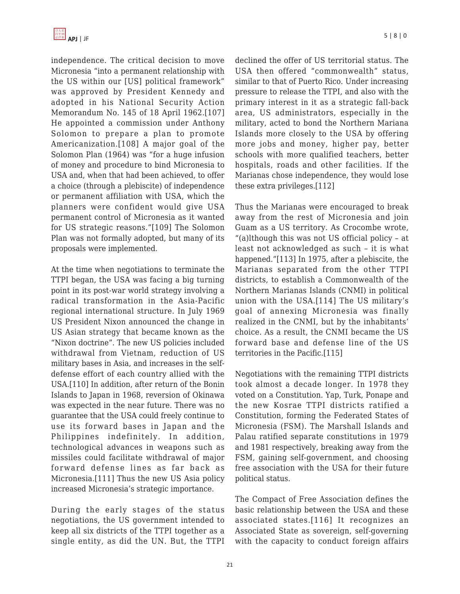independence. The critical decision to move Micronesia "into a permanent relationship with the US within our [US] political framework" was approved by President Kennedy and adopted in his National Security Action Memorandum No. 145 of 18 April 1962.[107] He appointed a commission under Anthony Solomon to prepare a plan to promote Americanization.[108] A major goal of the Solomon Plan (1964) was "for a huge infusion of money and procedure to bind Micronesia to USA and, when that had been achieved, to offer a choice (through a plebiscite) of independence or permanent affiliation with USA, which the planners were confident would give USA permanent control of Micronesia as it wanted for US strategic reasons."[109] The Solomon Plan was not formally adopted, but many of its proposals were implemented.

At the time when negotiations to terminate the TTPI began, the USA was facing a big turning point in its post-war world strategy involving a radical transformation in the Asia-Pacific regional international structure. In July 1969 US President Nixon announced the change in US Asian strategy that became known as the "Nixon doctrine". The new US policies included withdrawal from Vietnam, reduction of US military bases in Asia, and increases in the selfdefense effort of each country allied with the USA.[110] In addition, after return of the Bonin Islands to Japan in 1968, reversion of Okinawa was expected in the near future. There was no guarantee that the USA could freely continue to use its forward bases in Japan and the Philippines indefinitely. In addition, technological advances in weapons such as missiles could facilitate withdrawal of major forward defense lines as far back as Micronesia.[111] Thus the new US Asia policy increased Micronesia's strategic importance.

During the early stages of the status negotiations, the US government intended to keep all six districts of the TTPI together as a single entity, as did the UN. But, the TTPI declined the offer of US territorial status. The USA then offered "commonwealth" status, similar to that of Puerto Rico. Under increasing pressure to release the TTPI, and also with the primary interest in it as a strategic fall-back area, US administrators, especially in the military, acted to bond the Northern Mariana Islands more closely to the USA by offering more jobs and money, higher pay, better schools with more qualified teachers, better hospitals, roads and other facilities. If the Marianas chose independence, they would lose these extra privileges.[112]

Thus the Marianas were encouraged to break away from the rest of Micronesia and join Guam as a US territory. As Crocombe wrote, "(a)lthough this was not US official policy – at least not acknowledged as such – it is what happened."[113] In 1975, after a plebiscite, the Marianas separated from the other TTPI districts, to establish a Commonwealth of the Northern Marianas Islands (CNMI) in political union with the USA.[114] The US military's goal of annexing Micronesia was finally realized in the CNMI, but by the inhabitants' choice. As a result, the CNMI became the US forward base and defense line of the US territories in the Pacific.[115]

Negotiations with the remaining TTPI districts took almost a decade longer. In 1978 they voted on a Constitution. Yap, Turk, Ponape and the new Kosrae TTPI districts ratified a Constitution, forming the Federated States of Micronesia (FSM). The Marshall Islands and Palau ratified separate constitutions in 1979 and 1981 respectively, breaking away from the FSM, gaining self-government, and choosing free association with the USA for their future political status.

The Compact of Free Association defines the basic relationship between the USA and these associated states.[116] It recognizes an Associated State as sovereign, self-governing with the capacity to conduct foreign affairs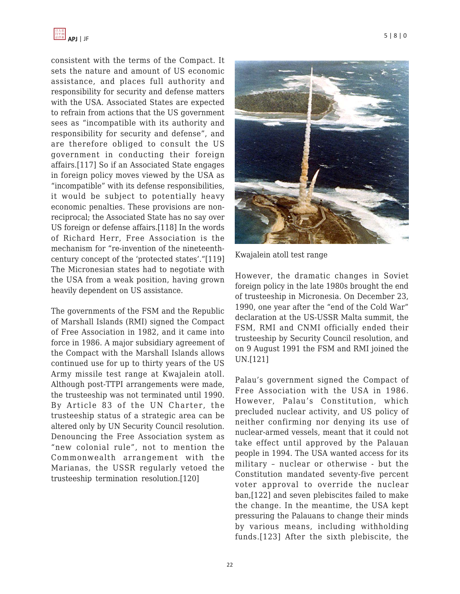

consistent with the terms of the Compact. It sets the nature and amount of US economic assistance, and places full authority and responsibility for security and defense matters with the USA. Associated States are expected to refrain from actions that the US government sees as "incompatible with its authority and responsibility for security and defense", and are therefore obliged to consult the US government in conducting their foreign affairs.[117] So if an Associated State engages in foreign policy moves viewed by the USA as "incompatible" with its defense responsibilities, it would be subject to potentially heavy economic penalties. These provisions are nonreciprocal; the Associated State has no say over US foreign or defense affairs.[118] In the words of Richard Herr, Free Association is the mechanism for "re-invention of the nineteenthcentury concept of the 'protected states'."[119] The Micronesian states had to negotiate with the USA from a weak position, having grown heavily dependent on US assistance.

The governments of the FSM and the Republic of Marshall Islands (RMI) signed the Compact of Free Association in 1982, and it came into force in 1986. A major subsidiary agreement of the Compact with the Marshall Islands allows continued use for up to thirty years of the US Army missile test range at Kwajalein atoll. Although post-TTPI arrangements were made, the trusteeship was not terminated until 1990. By Article 83 of the UN Charter, the trusteeship status of a strategic area can be altered only by UN Security Council resolution. Denouncing the Free Association system as "new colonial rule", not to mention the Commonwealth arrangement with the Marianas, the USSR regularly vetoed the trusteeship termination resolution.[120]



Kwajalein atoll test range

However, the dramatic changes in Soviet foreign policy in the late 1980s brought the end of trusteeship in Micronesia. On December 23, 1990, one year after the "end of the Cold War" declaration at the US-USSR Malta summit, the FSM, RMI and CNMI officially ended their trusteeship by Security Council resolution, and on 9 August 1991 the FSM and RMI joined the UN.[121]

Palau's government signed the Compact of Free Association with the USA in 1986. However, Palau's Constitution, which precluded nuclear activity, and US policy of neither confirming nor denying its use of nuclear-armed vessels, meant that it could not take effect until approved by the Palauan people in 1994. The USA wanted access for its military – nuclear or otherwise - but the Constitution mandated seventy-five percent voter approval to override the nuclear ban,[122] and seven plebiscites failed to make the change. In the meantime, the USA kept pressuring the Palauans to change their minds by various means, including withholding funds.[123] After the sixth plebiscite, the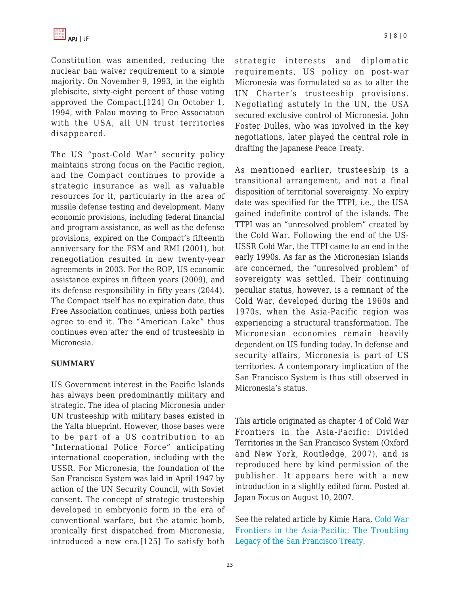Constitution was amended, reducing the nuclear ban waiver requirement to a simple majority. On November 9, 1993, in the eighth plebiscite, sixty-eight percent of those voting approved the Compact.[124] On October 1, 1994, with Palau moving to Free Association with the USA, all UN trust territories disappeared.

The US "post-Cold War" security policy maintains strong focus on the Pacific region, and the Compact continues to provide a strategic insurance as well as valuable resources for it, particularly in the area of missile defense testing and development. Many economic provisions, including federal financial and program assistance, as well as the defense provisions, expired on the Compact's fifteenth anniversary for the FSM and RMI (2001), but renegotiation resulted in new twenty-year agreements in 2003. For the ROP, US economic assistance expires in fifteen years (2009), and its defense responsibility in fifty years (2044). The Compact itself has no expiration date, thus Free Association continues, unless both parties agree to end it. The "American Lake" thus continues even after the end of trusteeship in Micronesia.

### **SUMMARY**

US Government interest in the Pacific Islands has always been predominantly military and strategic. The idea of placing Micronesia under UN trusteeship with military bases existed in the Yalta blueprint. However, those bases were to be part of a US contribution to an "International Police Force" anticipating international cooperation, including with the USSR. For Micronesia, the foundation of the San Francisco System was laid in April 1947 by action of the UN Security Council, with Soviet consent. The concept of strategic trusteeship developed in embryonic form in the era of conventional warfare, but the atomic bomb, ironically first dispatched from Micronesia, introduced a new era.[125] To satisfy both strategic interests and diplomatic requirements, US policy on post-war Micronesia was formulated so as to alter the UN Charter's trusteeship provisions. Negotiating astutely in the UN, the USA secured exclusive control of Micronesia. John Foster Dulles, who was involved in the key negotiations, later played the central role in drafting the Japanese Peace Treaty.

As mentioned earlier, trusteeship is a transitional arrangement, and not a final disposition of territorial sovereignty. No expiry date was specified for the TTPI, i.e., the USA gained indefinite control of the islands. The TTPI was an "unresolved problem" created by the Cold War. Following the end of the US-USSR Cold War, the TTPI came to an end in the early 1990s. As far as the Micronesian Islands are concerned, the "unresolved problem" of sovereignty was settled. Their continuing peculiar status, however, is a remnant of the Cold War, developed during the 1960s and 1970s, when the Asia-Pacific region was experiencing a structural transformation. The Micronesian economies remain heavily dependent on US funding today. In defense and security affairs, Micronesia is part of US territories. A contemporary implication of the San Francisco System is thus still observed in Micronesia's status.

This article originated as chapter 4 of Cold War Frontiers in the Asia-Pacific: Divided Territories in the San Francisco System (Oxford and New York, Routledge, 2007), and is reproduced here by kind permission of the publisher. It appears here with a new introduction in a slightly edited form. Posted at Japan Focus on August 10, 2007.

See the related article by Kimie Hara, [Cold War](http://japanfocus.org/products/details/2211) [Frontiers in the Asia-Pacific: The Troubling](http://japanfocus.org/products/details/2211) [Legacy of the San Francisco Treaty](http://japanfocus.org/products/details/2211).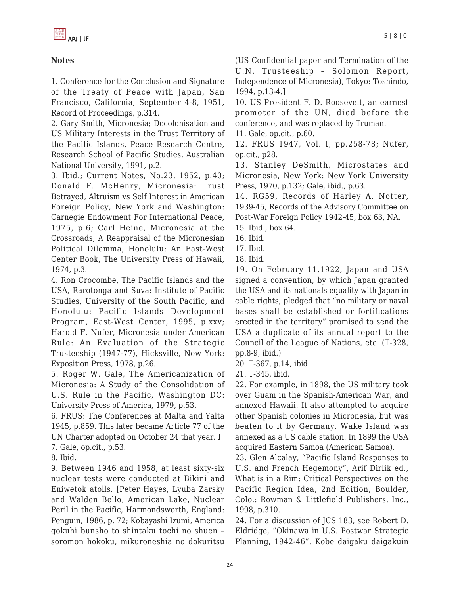# **Notes**

1. Conference for the Conclusion and Signature of the Treaty of Peace with Japan, San Francisco, California, September 4-8, 1951, Record of Proceedings, p.314.

2. Gary Smith, Micronesia; Decolonisation and US Military Interests in the Trust Territory of the Pacific Islands, Peace Research Centre, Research School of Pacific Studies, Australian National University, 1991, p.2.

3. Ibid.; Current Notes, No.23, 1952, p.40; Donald F. McHenry, Micronesia: Trust Betrayed, Altruism vs Self Interest in American Foreign Policy, New York and Washington: Carnegie Endowment For International Peace, 1975, p.6; Carl Heine, Micronesia at the Crossroads, A Reappraisal of the Micronesian Political Dilemma, Honolulu: An East-West Center Book, The University Press of Hawaii, 1974, p.3.

4. Ron Crocombe, The Pacific Islands and the USA, Rarotonga and Suva: Institute of Pacific Studies, University of the South Pacific, and Honolulu: Pacific Islands Development Program, East-West Center, 1995, p.xxv; Harold F. Nufer, Micronesia under American Rule: An Evaluation of the Strategic Trusteeship (1947-77), Hicksville, New York: Exposition Press, 1978, p.26.

5. Roger W. Gale, The Americanization of Micronesia: A Study of the Consolidation of U.S. Rule in the Pacific, Washington DC: University Press of America, 1979, p.53.

6. FRUS: The Conferences at Malta and Yalta 1945, p.859. This later became Article 77 of the UN Charter adopted on October 24 that year. I 7. Gale, op.cit., p.53.

8. Ibid.

9. Between 1946 and 1958, at least sixty-six nuclear tests were conducted at Bikini and Eniwetok atolls. [Peter Hayes, Lyuba Zarsky and Walden Bello, American Lake, Nuclear Peril in the Pacific, Harmondsworth, England: Penguin, 1986, p. 72; Kobayashi Izumi, America gokuhi bunsho to shintaku tochi no shuen – soromon hokoku, mikuroneshia no dokuritsu (US Confidential paper and Termination of the U.N. Trusteeship – Solomon Report, Independence of Micronesia), Tokyo: Toshindo, 1994, p.13-4.]

10. US President F. D. Roosevelt, an earnest promoter of the UN, died before the conference, and was replaced by Truman.

11. Gale, op.cit., p.60.

12. FRUS 1947, Vol. I, pp.258-78; Nufer, op.cit., p28.

13. Stanley DeSmith, Microstates and Micronesia, New York: New York University Press, 1970, p.132; Gale, ibid., p.63.

14. RG59, Records of Harley A. Notter, 1939-45, Records of the Advisory Committee on Post-War Foreign Policy 1942-45, box 63, NA.

15. Ibid., box 64.

16. Ibid.

17. Ibid.

18. Ibid.

19. On February 11,1922, Japan and USA signed a convention, by which Japan granted the USA and its nationals equality with Japan in cable rights, pledged that "no military or naval bases shall be established or fortifications erected in the territory" promised to send the USA a duplicate of its annual report to the Council of the League of Nations, etc. (T-328, pp.8-9, ibid.)

20. T-367, p.14, ibid.

21. T-345, ibid.

22. For example, in 1898, the US military took over Guam in the Spanish-American War, and annexed Hawaii. It also attempted to acquire other Spanish colonies in Micronesia, but was beaten to it by Germany. Wake Island was annexed as a US cable station. In 1899 the USA acquired Eastern Samoa (American Samoa).

23. Glen Alcalay, "Pacific Island Responses to U.S. and French Hegemony", Arif Dirlik ed., What is in a Rim: Critical Perspectives on the Pacific Region Idea, 2nd Edition, Boulder, Colo.: Rowman & Littlefield Publishers, Inc., 1998, p.310.

24. For a discussion of JCS 183, see Robert D. Eldridge, "Okinawa in U.S. Postwar Strategic Planning, 1942-46", Kobe daigaku daigakuin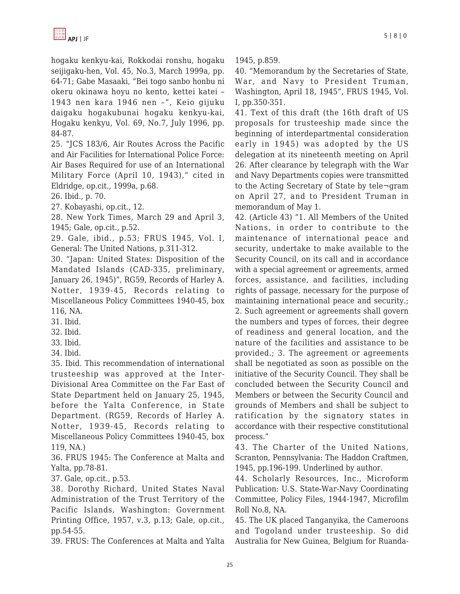hogaku kenkyu-kai, Rokkodai ronshu, hogaku seijigaku-hen, Vol. 45, No.3, March 1999a, pp. 64-71; Gabe Masaaki, "Bei togo sanbo honbu ni okeru okinawa hoyu no kento, kettei katei – 1943 nen kara 1946 nen –", Keio gijuku daigaku hogakubunai hogaku kenkyu-kai, Hogaku kenkyu, Vol. 69, No.7, July 1996, pp. 84-87.

25. "JCS 183/6, Air Routes Across the Pacific and Air Facilities for International Police Force: Air Bases Required for use of an International Military Force (April 10, 1943)," cited in Eldridge, op.cit., 1999a, p.68.

26. Ibid., p. 70.

27. Kobayashi, op.cit., 12.

28. New York Times, March 29 and April 3, 1945; Gale, op.cit., p.52.

29. Gale, ibid., p.53; FRUS 1945, Vol. I, General: The United Nations, p.311-312.

30. "Japan: United States: Disposition of the Mandated Islands (CAD-335, preliminary, January 26, 1945)", RG59, Records of Harley A. Notter, 1939-45, Records relating to Miscellaneous Policy Committees 1940-45, box 116, NA.

31. Ibid.

- 32. Ibid.
- 33. Ibid.
- 34. Ibid.

35. Ibid. This recommendation of international trusteeship was approved at the Inter-Divisional Area Committee on the Far East of State Department held on January 25, 1945, before the Yalta Conference, in State Department. (RG59, Records of Harley A. Notter, 1939-45, Records relating to Miscellaneous Policy Committees 1940-45, box 119, NA.)

36. FRUS 1945: The Conference at Malta and Yalta, pp.78-81.

37. Gale, op.cit., p.53.

38. Dorothy Richard, United States Naval Administration of the Trust Territory of the Pacific Islands, Washington: Government Printing Office, 1957, v.3, p.13; Gale, op.cit., pp.54-55.

39. FRUS: The Conferences at Malta and Yalta

1945, p.859.

40. "Memorandum by the Secretaries of State, War, and Navy to President Truman, Washington, April 18, 1945", FRUS 1945, Vol. I, pp.350-351.

41. Text of this draft (the 16th draft of US proposals for trusteeship made since the beginning of interdepartmental consideration early in 1945) was adopted by the US delegation at its nineteenth meeting on April 26. After clearance by telegraph with the War and Navy Departments copies were transmitted to the Acting Secretary of State by tele¬gram on April 27, and to President Truman in memorandum of May 1.

42. (Article 43) "1. All Members of the United Nations, in order to contribute to the maintenance of international peace and security, undertake to make available to the Security Council, on its call and in accordance with a special agreement or agreements, armed forces, assistance, and facilities, including rights of passage, necessary for the purpose of maintaining international peace and security.; 2. Such agreement or agreements shall govern the numbers and types of forces, their degree of readiness and general location, and the nature of the facilities and assistance to be provided.; 3. The agreement or agreements shall be negotiated as soon as possible on the initiative of the Security Council. They shall be concluded between the Security Council and Members or between the Security Council and grounds of Members and shall be subject to ratification by the signatory states in accordance with their respective constitutional process."

43. The Charter of the United Nations, Scranton, Pennsylvania: The Haddon Craftmen, 1945, pp.196-199. Underlined by author.

44. Scholarly Resources, Inc., Microform Publication: U.S. State-War-Navy Coordinating Committee, Policy Files, 1944-1947, Microfilm Roll No.8, NA.

45. The UK placed Tanganyika, the Cameroons and Togoland under trusteeship. So did Australia for New Guinea, Belgium for Ruanda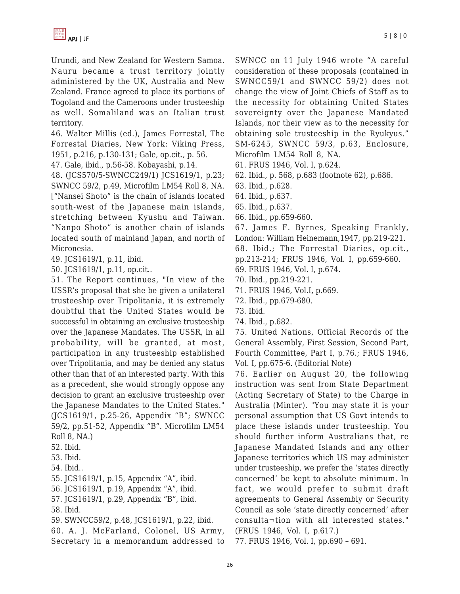Urundi, and New Zealand for Western Samoa. Nauru became a trust territory jointly administered by the UK, Australia and New Zealand. France agreed to place its portions of Togoland and the Cameroons under trusteeship as well. Somaliland was an Italian trust territory.

46. Walter Millis (ed.), James Forrestal, The Forrestal Diaries, New York: Viking Press, 1951, p.216, p.130-131; Gale, op.cit., p. 56.

47. Gale, ibid., p.56-58. Kobayashi, p.14.

48. (JCS570/5-SWNCC249/1) JCS1619/1, p.23; SWNCC 59/2, p.49, Microfilm LM54 Roll 8, NA. ["Nansei Shoto" is the chain of islands located south-west of the Japanese main islands, stretching between Kyushu and Taiwan. "Nanpo Shoto" is another chain of islands located south of mainland Japan, and north of Micronesia.

49. JCS1619/1, p.11, ibid.

50. JCS1619/1, p.11, op.cit..

51. The Report continues, "In view of the USSR's proposal that she be given a unilateral trusteeship over Tripolitania, it is extremely doubtful that the United States would be successful in obtaining an exclusive trusteeship over the Japanese Mandates. The USSR, in all probability, will be granted, at most, participation in any trusteeship established over Tripolitania, and may be denied any status other than that of an interested party. With this as a precedent, she would strongly oppose any decision to grant an exclusive trusteeship over the Japanese Mandates to the United States." (JCS1619/1, p.25-26, Appendix "B"; SWNCC 59/2, pp.51-52, Appendix "B". Microfilm LM54 Roll 8, NA.)

- 54. Ibid..
- 55. JCS1619/1, p.15, Appendix "A", ibid.
- 56. JCS1619/1, p.19, Appendix "A", ibid.
- 57. JCS1619/1, p.29, Appendix "B", ibid.
- 58. Ibid.
- 59. SWNCC59/2, p.48, JCS1619/1, p.22, ibid.

60. A. J. McFarland, Colonel, US Army, Secretary in a memorandum addressed to SWNCC on 11 July 1946 wrote "A careful consideration of these proposals (contained in SWNCC59/1 and SWNCC 59/2) does not change the view of Joint Chiefs of Staff as to the necessity for obtaining United States sovereignty over the Japanese Mandated Islands, nor their view as to the necessity for obtaining sole trusteeship in the Ryukyus." SM-6245, SWNCC 59/3, p.63, Enclosure, Microfilm LM54 Roll 8, NA.

61. FRUS 1946, Vol. I, p.624.

62. Ibid., p. 568, p.683 (footnote 62), p.686.

63. Ibid., p.628.

- 64. Ibid., p.637.
- 65. Ibid., p.637.
- 66. Ibid., pp.659-660.

67. James F. Byrnes, Speaking Frankly, London: William Heinemann,1947, pp.219-221. 68. Ibid.; The Forrestal Diaries, op.cit., pp.213-214; FRUS 1946, Vol. I, pp.659-660.

- 69. FRUS 1946, Vol. I, p.674.
- 70. Ibid., pp.219-221.
- 71. FRUS 1946, Vol.I, p.669.
- 72. Ibid., pp.679-680.
- 73. Ibid.
- 74. Ibid., p.682.

75. United Nations, Official Records of the General Assembly, First Session, Second Part, Fourth Committee, Part I, p.76.; FRUS 1946, Vol. I, pp.675-6. (Editorial Note)

76. Earlier on August 20, the following instruction was sent from State Department (Acting Secretary of State) to the Charge in Australia (Minter). "You may state it is your personal assumption that US Govt intends to place these islands under trusteeship. You should further inform Australians that, re Japanese Mandated Islands and any other Japanese territories which US may administer under trusteeship, we prefer the 'states directly concerned' be kept to absolute minimum. In fact, we would prefer to submit draft agreements to General Assembly or Security Council as sole 'state directly concerned' after consulta¬tion with all interested states." (FRUS 1946, Vol. I, p.617.)

77. FRUS 1946, Vol. I, pp.690 – 691.

<sup>52.</sup> Ibid.

<sup>53.</sup> Ibid.